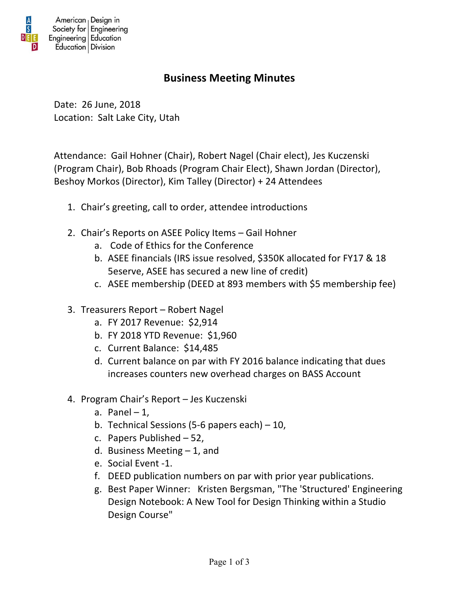

## **Business Meeting Minutes**

Date: 26 June, 2018 Location: Salt Lake City, Utah

Attendance: Gail Hohner (Chair), Robert Nagel (Chair elect), Jes Kuczenski (Program Chair), Bob Rhoads (Program Chair Elect), Shawn Jordan (Director), Beshoy Morkos (Director), Kim Talley (Director) + 24 Attendees

- 1. Chair's greeting, call to order, attendee introductions
- 2. Chair's Reports on ASEE Policy Items Gail Hohner
	- a. Code of Ethics for the Conference
	- b. ASEE financials (IRS issue resolved, \$350K allocated for FY17 & 18 5eserve, ASEE has secured a new line of credit)
	- c. ASEE membership (DEED at 893 members with \$5 membership fee)
- 3. Treasurers Report Robert Nagel
	- a. FY 2017 Revenue: \$2,914
	- b. FY 2018 YTD Revenue: \$1,960
	- c. Current Balance: \$14,485
	- d. Current balance on par with FY 2016 balance indicating that dues increases counters new overhead charges on BASS Account
- 4. Program Chair's Report Jes Kuczenski
	- a. Panel  $-1$ ,
	- b. Technical Sessions (5-6 papers each)  $-10$ ,
	- c. Papers Published  $-52$ ,
	- d. Business Meeting  $-1$ , and
	- e. Social Event -1.
	- f. DEED publication numbers on par with prior year publications.
	- g. Best Paper Winner: Kristen Bergsman, "The 'Structured' Engineering Design Notebook: A New Tool for Design Thinking within a Studio Design Course"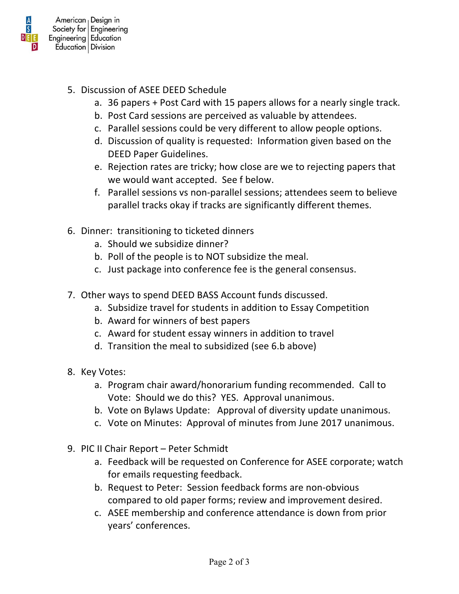

- 5. Discussion of ASEE DEED Schedule
	- a. 36 papers + Post Card with 15 papers allows for a nearly single track.
	- b. Post Card sessions are perceived as valuable by attendees.
	- c. Parallel sessions could be very different to allow people options.
	- d. Discussion of quality is requested: Information given based on the DEED Paper Guidelines.
	- e. Rejection rates are tricky; how close are we to rejecting papers that we would want accepted. See f below.
	- f. Parallel sessions vs non-parallel sessions; attendees seem to believe parallel tracks okay if tracks are significantly different themes.
- 6. Dinner: transitioning to ticketed dinners
	- a. Should we subsidize dinner?
	- b. Poll of the people is to NOT subsidize the meal.
	- c. Just package into conference fee is the general consensus.
- 7. Other ways to spend DEED BASS Account funds discussed.
	- a. Subsidize travel for students in addition to Essay Competition
	- b. Award for winners of best papers
	- c. Award for student essay winners in addition to travel
	- d. Transition the meal to subsidized (see 6.b above)
- 8. Key Votes:
	- a. Program chair award/honorarium funding recommended. Call to Vote: Should we do this? YES. Approval unanimous.
	- b. Vote on Bylaws Update: Approval of diversity update unanimous.
	- c. Vote on Minutes: Approval of minutes from June 2017 unanimous.
- 9. PIC II Chair Report Peter Schmidt
	- a. Feedback will be requested on Conference for ASEE corporate; watch for emails requesting feedback.
	- b. Request to Peter: Session feedback forms are non-obvious compared to old paper forms; review and improvement desired.
	- c. ASEE membership and conference attendance is down from prior years' conferences.